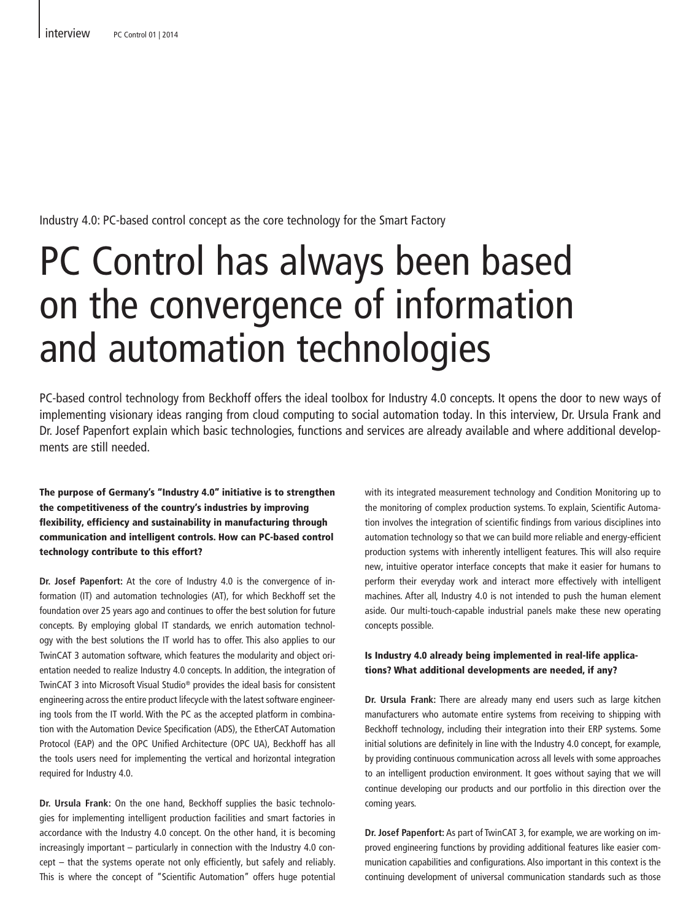Industry 4.0: PC-based control concept as the core technology for the Smart Factory

# PC Control has always been based on the convergence of information and automation technologies

PC-based control technology from Beckhoff offers the ideal toolbox for Industry 4.0 concepts. It opens the door to new ways of implementing visionary ideas ranging from cloud computing to social automation today. In this interview, Dr. Ursula Frank and Dr. Josef Papenfort explain which basic technologies, functions and services are already available and where additional developments are still needed.

The purpose of Germany's "Industry 4.0" initiative is to strengthen the competitiveness of the country's industries by improving flexibility, efficiency and sustainability in manufacturing through communication and intelligent controls. How can PC-based control technology contribute to this effort?

**Dr. Josef Papenfort:** At the core of Industry 4.0 is the convergence of information (IT) and automation technologies (AT), for which Beckhoff set the foundation over 25 years ago and continues to offer the best solution for future concepts. By employing global IT standards, we enrich automation technology with the best solutions the IT world has to offer. This also applies to our TwinCAT 3 automation software, which features the modularity and object orientation needed to realize Industry 4.0 concepts. In addition, the integration of TwinCAT 3 into Microsoft Visual Studio® provides the ideal basis for consistent engineering across the entire product lifecycle with the latest software engineering tools from the IT world. With the PC as the accepted platform in combination with the Automation Device Specification (ADS), the EtherCAT Automation Protocol (EAP) and the OPC Unified Architecture (OPC UA), Beckhoff has all the tools users need for implementing the vertical and horizontal integration required for Industry 4.0.

**Dr. Ursula Frank:** On the one hand, Beckhoff supplies the basic technologies for implementing intelligent production facilities and smart factories in accordance with the Industry 4.0 concept. On the other hand, it is becoming increasingly important – particularly in connection with the Industry 4.0 concept – that the systems operate not only efficiently, but safely and reliably. This is where the concept of "Scientific Automation" offers huge potential

with its integrated measurement technology and Condition Monitoring up to the monitoring of complex production systems. To explain, Scientific Automation involves the integration of scientific findings from various disciplines into automation technology so that we can build more reliable and energy-efficient production systems with inherently intelligent features. This will also require new, intuitive operator interface concepts that make it easier for humans to perform their everyday work and interact more effectively with intelligent machines. After all, Industry 4.0 is not intended to push the human element aside. Our multi-touch-capable industrial panels make these new operating concepts possible.

#### Is Industry 4.0 already being implemented in real-life applications? What additional developments are needed, if any?

**Dr. Ursula Frank:** There are already many end users such as large kitchen manufacturers who automate entire systems from receiving to shipping with Beckhoff technology, including their integration into their ERP systems. Some initial solutions are definitely in line with the Industry 4.0 concept, for example, by providing continuous communication across all levels with some approaches to an intelligent production environment. It goes without saying that we will continue developing our products and our portfolio in this direction over the coming years.

**Dr. Josef Papenfort:** As part of TwinCAT 3, for example, we are working on improved engineering functions by providing additional features like easier communication capabilities and configurations. Also important in this context is the continuing development of universal communication standards such as those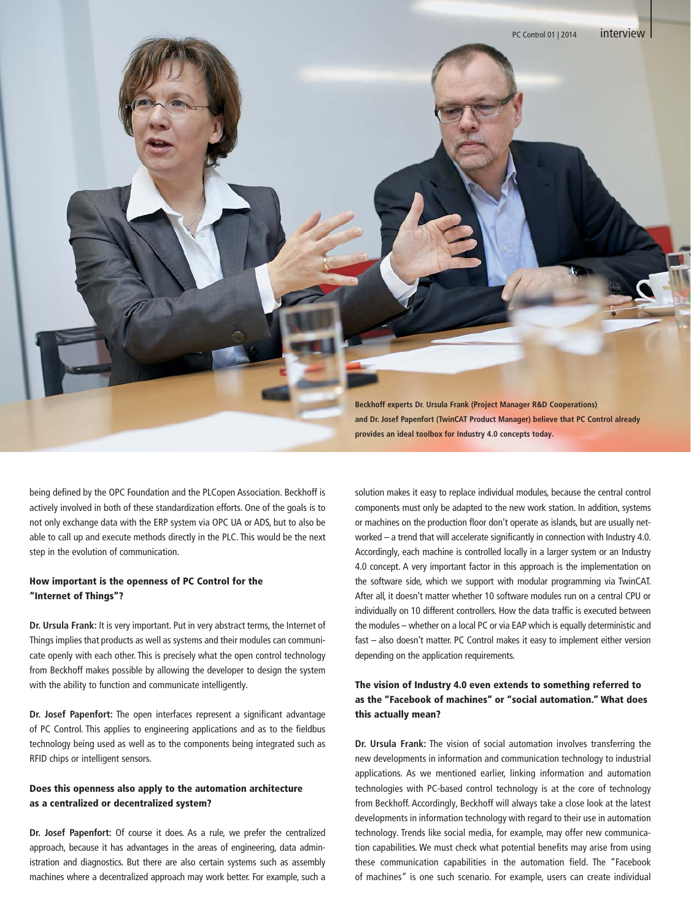

being defined by the OPC Foundation and the PLCopen Association. Beckhoff is actively involved in both of these standardization efforts. One of the goals is to not only exchange data with the ERP system via OPC UA or ADS, but to also be able to call up and execute methods directly in the PLC. This would be the next step in the evolution of communication.

### How important is the openness of PC Control for the "Internet of Things"?

**Dr. Ursula Frank:** It is very important. Put in very abstract terms, the Internet of Things implies that products as well as systems and their modules can communicate openly with each other. This is precisely what the open control technology from Beckhoff makes possible by allowing the developer to design the system with the ability to function and communicate intelligently.

**Dr. Josef Papenfort:** The open interfaces represent a significant advantage of PC Control. This applies to engineering applications and as to the fieldbus technology being used as well as to the components being integrated such as RFID chips or intelligent sensors.

## Does this openness also apply to the automation architecture as a centralized or decentralized system?

**Dr. Josef Papenfort:** Of course it does. As a rule, we prefer the centralized approach, because it has advantages in the areas of engineering, data administration and diagnostics. But there are also certain systems such as assembly machines where a decentralized approach may work better. For example, such a solution makes it easy to replace individual modules, because the central control components must only be adapted to the new work station. In addition, systems or machines on the production floor don't operate as islands, but are usually networked – a trend that will accelerate significantly in connection with Industry 4.0. Accordingly, each machine is controlled locally in a larger system or an Industry 4.0 concept. A very important factor in this approach is the implementation on the software side, which we support with modular programming via TwinCAT. After all, it doesn't matter whether 10 software modules run on a central CPU or individually on 10 different controllers. How the data traffic is executed between the modules – whether on a local PC or via EAP which is equally deterministic and fast – also doesn't matter. PC Control makes it easy to implement either version depending on the application requirements.

# The vision of Industry 4.0 even extends to something referred to as the "Facebook of machines" or "social automation." What does this actually mean?

**Dr. Ursula Frank:** The vision of social automation involves transferring the new developments in information and communication technology to industrial applications. As we mentioned earlier, linking information and automation technologies with PC-based control technology is at the core of technology from Beckhoff. Accordingly, Beckhoff will always take a close look at the latest developments in information technology with regard to their use in automation technology. Trends like social media, for example, may offer new communication capabilities. We must check what potential benefits may arise from using these communication capabilities in the automation field. The "Facebook of machines" is one such scenario. For example, users can create individual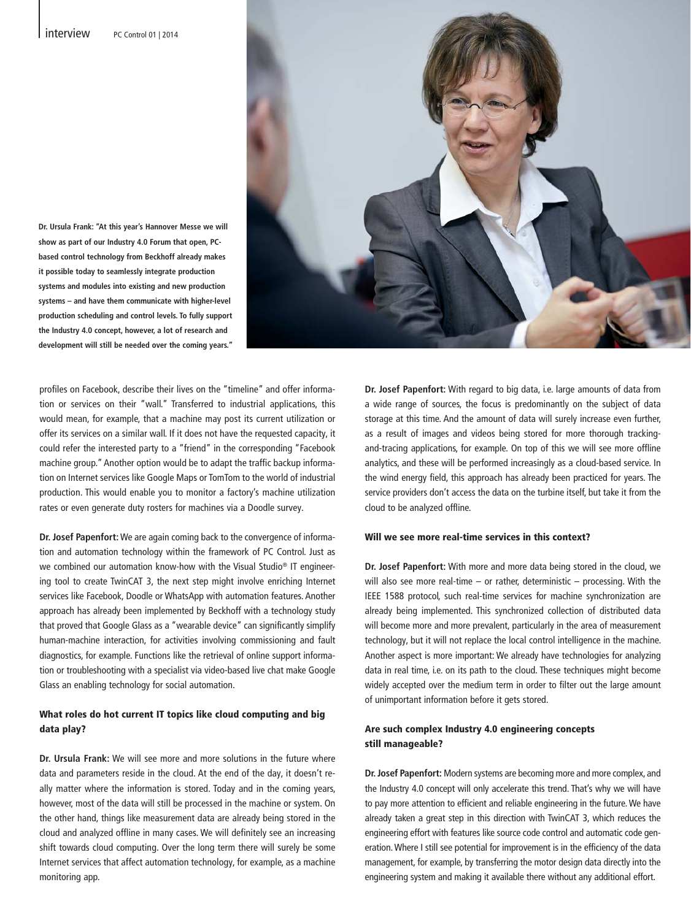



profiles on Facebook, describe their lives on the "timeline" and offer information or services on their "wall." Transferred to industrial applications, this would mean, for example, that a machine may post its current utilization or offer its services on a similar wall. If it does not have the requested capacity, it could refer the interested party to a "friend" in the corresponding "Facebook machine group." Another option would be to adapt the traffic backup information on Internet services like Google Maps or TomTom to the world of industrial production. This would enable you to monitor a factory's machine utilization rates or even generate duty rosters for machines via a Doodle survey.

**Dr. Josef Papenfort:** We are again coming back to the convergence of information and automation technology within the framework of PC Control. Just as we combined our automation know-how with the Visual Studio® IT engineering tool to create TwinCAT 3, the next step might involve enriching Internet services like Facebook, Doodle or WhatsApp with automation features. Another approach has already been implemented by Beckhoff with a technology study that proved that Google Glass as a "wearable device" can significantly simplify human-machine interaction, for activities involving commissioning and fault diagnostics, for example. Functions like the retrieval of online support information or troubleshooting with a specialist via video-based live chat make Google Glass an enabling technology for social automation.

#### What roles do hot current IT topics like cloud computing and big data play?

**Dr. Ursula Frank:** We will see more and more solutions in the future where data and parameters reside in the cloud. At the end of the day, it doesn't really matter where the information is stored. Today and in the coming years, however, most of the data will still be processed in the machine or system. On the other hand, things like measurement data are already being stored in the cloud and analyzed offline in many cases. We will definitely see an increasing shift towards cloud computing. Over the long term there will surely be some Internet services that affect automation technology, for example, as a machine monitoring app.

**Dr. Josef Papenfort:** With regard to big data, i.e. large amounts of data from a wide range of sources, the focus is predominantly on the subject of data storage at this time. And the amount of data will surely increase even further, as a result of images and videos being stored for more thorough trackingand-tracing applications, for example. On top of this we will see more offline analytics, and these will be performed increasingly as a cloud-based service. In the wind energy field, this approach has already been practiced for years. The service providers don't access the data on the turbine itself, but take it from the cloud to be analyzed offline.

#### Will we see more real-time services in this context?

**Dr. Josef Papenfort:** With more and more data being stored in the cloud, we will also see more real-time – or rather, deterministic – processing. With the IEEE 1588 protocol, such real-time services for machine synchronization are already being implemented. This synchronized collection of distributed data will become more and more prevalent, particularly in the area of measurement technology, but it will not replace the local control intelligence in the machine. Another aspect is more important: We already have technologies for analyzing data in real time, i.e. on its path to the cloud. These techniques might become widely accepted over the medium term in order to filter out the large amount of unimportant information before it gets stored.

#### Are such complex Industry 4.0 engineering concepts still manageable?

**Dr. Josef Papenfort:** Modern systems are becoming more and more complex, and the Industry 4.0 concept will only accelerate this trend. That's why we will have to pay more attention to efficient and reliable engineering in the future. We have already taken a great step in this direction with TwinCAT 3, which reduces the engineering effort with features like source code control and automatic code generation. Where I still see potential for improvement is in the efficiency of the data management, for example, by transferring the motor design data directly into the engineering system and making it available there without any additional effort.